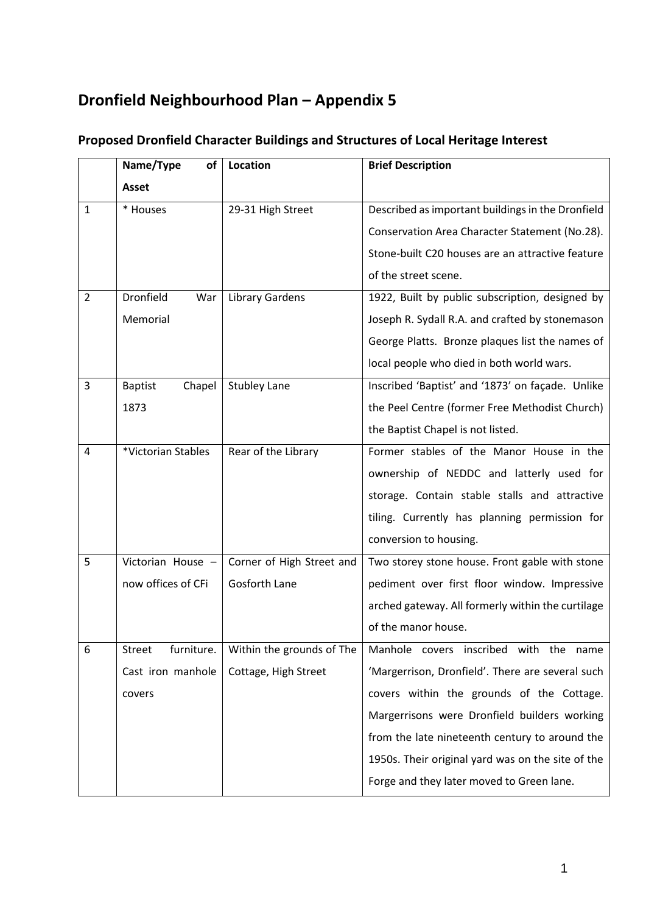## **Dronfield Neighbourhood Plan – Appendix 5**

|                | Name/Type<br>οf             | Location                  | <b>Brief Description</b>                          |
|----------------|-----------------------------|---------------------------|---------------------------------------------------|
|                | Asset                       |                           |                                                   |
| $\mathbf{1}$   | * Houses                    | 29-31 High Street         | Described as important buildings in the Dronfield |
|                |                             |                           | Conservation Area Character Statement (No.28).    |
|                |                             |                           | Stone-built C20 houses are an attractive feature  |
|                |                             |                           | of the street scene.                              |
| $\overline{2}$ | Dronfield<br>War            | <b>Library Gardens</b>    | 1922, Built by public subscription, designed by   |
|                | Memorial                    |                           | Joseph R. Sydall R.A. and crafted by stonemason   |
|                |                             |                           | George Platts. Bronze plaques list the names of   |
|                |                             |                           | local people who died in both world wars.         |
| 3              | <b>Baptist</b><br>Chapel    | <b>Stubley Lane</b>       | Inscribed 'Baptist' and '1873' on façade. Unlike  |
|                | 1873                        |                           | the Peel Centre (former Free Methodist Church)    |
|                |                             |                           | the Baptist Chapel is not listed.                 |
| 4              | *Victorian Stables          | Rear of the Library       | Former stables of the Manor House in the          |
|                |                             |                           | ownership of NEDDC and latterly used for          |
|                |                             |                           | storage. Contain stable stalls and attractive     |
|                |                             |                           | tiling. Currently has planning permission for     |
|                |                             |                           | conversion to housing.                            |
| 5              | Victorian House -           | Corner of High Street and | Two storey stone house. Front gable with stone    |
|                | now offices of CFi          | <b>Gosforth Lane</b>      | pediment over first floor window. Impressive      |
|                |                             |                           | arched gateway. All formerly within the curtilage |
|                |                             |                           | of the manor house.                               |
| 6              | furniture.<br><b>Street</b> | Within the grounds of The | Manhole covers inscribed with the name            |
|                | Cast iron manhole           | Cottage, High Street      | 'Margerrison, Dronfield'. There are several such  |
|                | covers                      |                           | covers within the grounds of the Cottage.         |
|                |                             |                           | Margerrisons were Dronfield builders working      |
|                |                             |                           | from the late nineteenth century to around the    |
|                |                             |                           | 1950s. Their original yard was on the site of the |
|                |                             |                           | Forge and they later moved to Green lane.         |

## **Proposed Dronfield Character Buildings and Structures of Local Heritage Interest**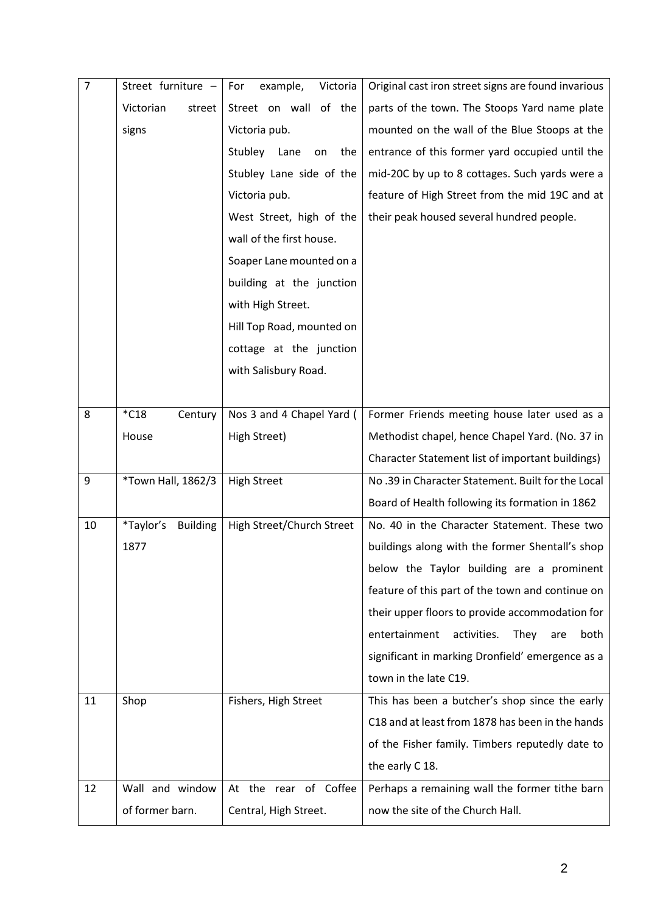| $\overline{7}$ | Street furniture -           | example,<br>Victoria<br>For  | Original cast iron street signs are found invarious |
|----------------|------------------------------|------------------------------|-----------------------------------------------------|
|                | Victorian<br>street          | Street on wall of the        | parts of the town. The Stoops Yard name plate       |
|                | signs                        | Victoria pub.                | mounted on the wall of the Blue Stoops at the       |
|                |                              | Stubley<br>Lane<br>the<br>on | entrance of this former yard occupied until the     |
|                |                              | Stubley Lane side of the     | mid-20C by up to 8 cottages. Such yards were a      |
|                |                              | Victoria pub.                | feature of High Street from the mid 19C and at      |
|                |                              | West Street, high of the     | their peak housed several hundred people.           |
|                |                              | wall of the first house.     |                                                     |
|                |                              | Soaper Lane mounted on a     |                                                     |
|                |                              | building at the junction     |                                                     |
|                |                              | with High Street.            |                                                     |
|                |                              | Hill Top Road, mounted on    |                                                     |
|                |                              | cottage at the junction      |                                                     |
|                |                              | with Salisbury Road.         |                                                     |
|                |                              |                              |                                                     |
| 8              | $*$ C18<br>Century           | Nos 3 and 4 Chapel Yard (    | Former Friends meeting house later used as a        |
|                | House                        | High Street)                 | Methodist chapel, hence Chapel Yard. (No. 37 in     |
|                |                              |                              | Character Statement list of important buildings)    |
| 9              | *Town Hall, 1862/3           | <b>High Street</b>           | No.39 in Character Statement. Built for the Local   |
|                |                              |                              | Board of Health following its formation in 1862     |
| 10             | *Taylor's<br><b>Building</b> | High Street/Church Street    | No. 40 in the Character Statement. These two        |
|                | 1877                         |                              | buildings along with the former Shentall's shop     |
|                |                              |                              | below the Taylor building are a prominent           |
|                |                              |                              | feature of this part of the town and continue on    |
|                |                              |                              | their upper floors to provide accommodation for     |
|                |                              |                              | entertainment<br>activities.<br>They<br>both<br>are |
|                |                              |                              | significant in marking Dronfield' emergence as a    |
|                |                              |                              | town in the late C19.                               |
| 11             | Shop                         | Fishers, High Street         | This has been a butcher's shop since the early      |
|                |                              |                              | C18 and at least from 1878 has been in the hands    |
|                |                              |                              | of the Fisher family. Timbers reputedly date to     |
|                |                              |                              | the early C 18.                                     |
| 12             | Wall and window              | At the rear of Coffee        | Perhaps a remaining wall the former tithe barn      |
|                | of former barn.              | Central, High Street.        | now the site of the Church Hall.                    |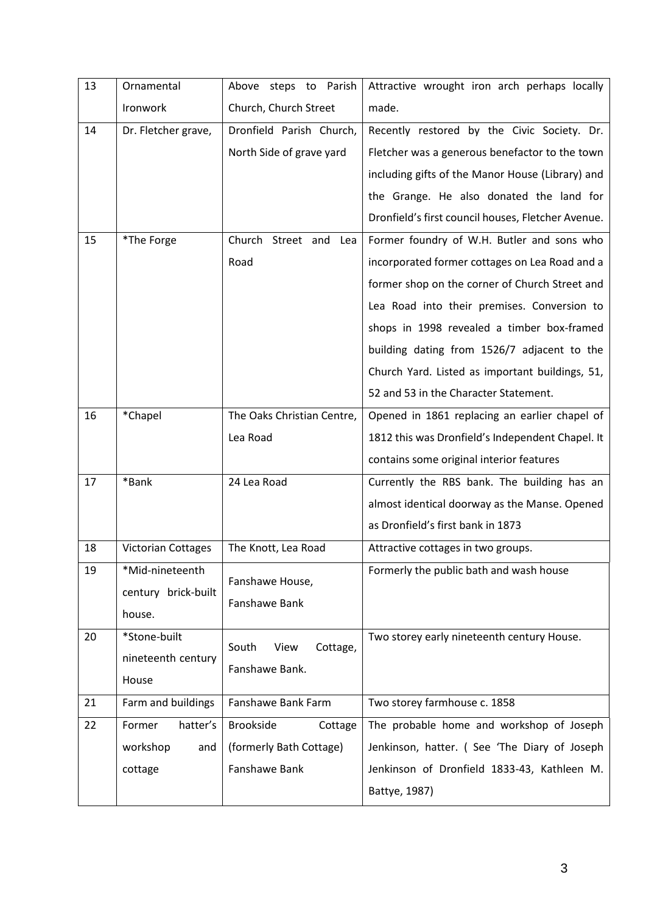| 13 | Ornamental                | Above steps to Parish       | Attractive wrought iron arch perhaps locally       |
|----|---------------------------|-----------------------------|----------------------------------------------------|
|    | Ironwork                  | Church, Church Street       | made.                                              |
| 14 | Dr. Fletcher grave,       | Dronfield Parish Church,    | Recently restored by the Civic Society. Dr.        |
|    |                           | North Side of grave yard    | Fletcher was a generous benefactor to the town     |
|    |                           |                             | including gifts of the Manor House (Library) and   |
|    |                           |                             | the Grange. He also donated the land for           |
|    |                           |                             | Dronfield's first council houses, Fletcher Avenue. |
| 15 | *The Forge                | Church Street and<br>Lea    | Former foundry of W.H. Butler and sons who         |
|    |                           | Road                        | incorporated former cottages on Lea Road and a     |
|    |                           |                             | former shop on the corner of Church Street and     |
|    |                           |                             | Lea Road into their premises. Conversion to        |
|    |                           |                             | shops in 1998 revealed a timber box-framed         |
|    |                           |                             | building dating from 1526/7 adjacent to the        |
|    |                           |                             | Church Yard. Listed as important buildings, 51,    |
|    |                           |                             | 52 and 53 in the Character Statement.              |
| 16 | *Chapel                   | The Oaks Christian Centre,  | Opened in 1861 replacing an earlier chapel of      |
|    |                           | Lea Road                    | 1812 this was Dronfield's Independent Chapel. It   |
|    |                           |                             | contains some original interior features           |
| 17 | *Bank                     | 24 Lea Road                 | Currently the RBS bank. The building has an        |
|    |                           |                             | almost identical doorway as the Manse. Opened      |
|    |                           |                             | as Dronfield's first bank in 1873                  |
| 18 | <b>Victorian Cottages</b> | The Knott, Lea Road         | Attractive cottages in two groups.                 |
| 19 | *Mid-nineteenth           | Fanshawe House,             | Formerly the public bath and wash house            |
|    | century brick-built       | Fanshawe Bank               |                                                    |
|    | house.                    |                             |                                                    |
| 20 | *Stone-built              | South<br>View<br>Cottage,   | Two storey early nineteenth century House.         |
|    | nineteenth century        | Fanshawe Bank.              |                                                    |
|    | House                     |                             |                                                    |
| 21 | Farm and buildings        | Fanshawe Bank Farm          | Two storey farmhouse c. 1858                       |
| 22 | Former<br>hatter's        | <b>Brookside</b><br>Cottage | The probable home and workshop of Joseph           |
|    | workshop<br>and           | (formerly Bath Cottage)     | Jenkinson, hatter. (See 'The Diary of Joseph       |
|    | cottage                   | Fanshawe Bank               | Jenkinson of Dronfield 1833-43, Kathleen M.        |
|    |                           |                             | Battye, 1987)                                      |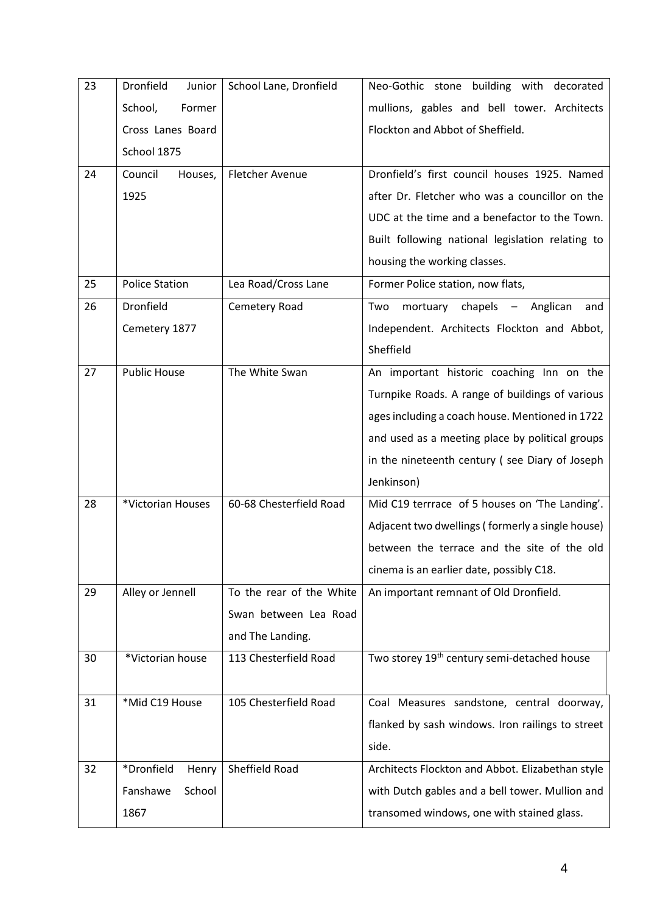| 23 | Dronfield<br>Junior   | School Lane, Dronfield   | Neo-Gothic stone building with decorated                                  |
|----|-----------------------|--------------------------|---------------------------------------------------------------------------|
|    | School,<br>Former     |                          | mullions, gables and bell tower. Architects                               |
|    | Cross Lanes Board     |                          | Flockton and Abbot of Sheffield.                                          |
|    | School 1875           |                          |                                                                           |
| 24 | Council<br>Houses,    | <b>Fletcher Avenue</b>   | Dronfield's first council houses 1925. Named                              |
|    | 1925                  |                          | after Dr. Fletcher who was a councillor on the                            |
|    |                       |                          | UDC at the time and a benefactor to the Town.                             |
|    |                       |                          | Built following national legislation relating to                          |
|    |                       |                          | housing the working classes.                                              |
| 25 | <b>Police Station</b> | Lea Road/Cross Lane      | Former Police station, now flats,                                         |
| 26 | Dronfield             | Cemetery Road            | chapels<br>Anglican<br>Two<br>mortuary<br>$\overline{\phantom{m}}$<br>and |
|    | Cemetery 1877         |                          | Independent. Architects Flockton and Abbot,                               |
|    |                       |                          | Sheffield                                                                 |
| 27 | <b>Public House</b>   | The White Swan           | An important historic coaching Inn on the                                 |
|    |                       |                          | Turnpike Roads. A range of buildings of various                           |
|    |                       |                          | ages including a coach house. Mentioned in 1722                           |
|    |                       |                          | and used as a meeting place by political groups                           |
|    |                       |                          | in the nineteenth century (see Diary of Joseph                            |
|    |                       |                          | Jenkinson)                                                                |
| 28 | *Victorian Houses     | 60-68 Chesterfield Road  | Mid C19 terrrace of 5 houses on 'The Landing'.                            |
|    |                       |                          | Adjacent two dwellings (formerly a single house)                          |
|    |                       |                          | between the terrace and the site of the old                               |
|    |                       |                          | cinema is an earlier date, possibly C18.                                  |
| 29 | Alley or Jennell      | To the rear of the White | An important remnant of Old Dronfield.                                    |
|    |                       | Swan between Lea Road    |                                                                           |
|    |                       | and The Landing.         |                                                                           |
| 30 | *Victorian house      | 113 Chesterfield Road    | Two storey 19 <sup>th</sup> century semi-detached house                   |
|    |                       |                          |                                                                           |
| 31 | *Mid C19 House        | 105 Chesterfield Road    | Coal Measures sandstone, central doorway,                                 |
|    |                       |                          | flanked by sash windows. Iron railings to street                          |
|    |                       |                          | side.                                                                     |
| 32 | *Dronfield<br>Henry   | Sheffield Road           | Architects Flockton and Abbot. Elizabethan style                          |
|    | Fanshawe<br>School    |                          | with Dutch gables and a bell tower. Mullion and                           |
|    | 1867                  |                          | transomed windows, one with stained glass.                                |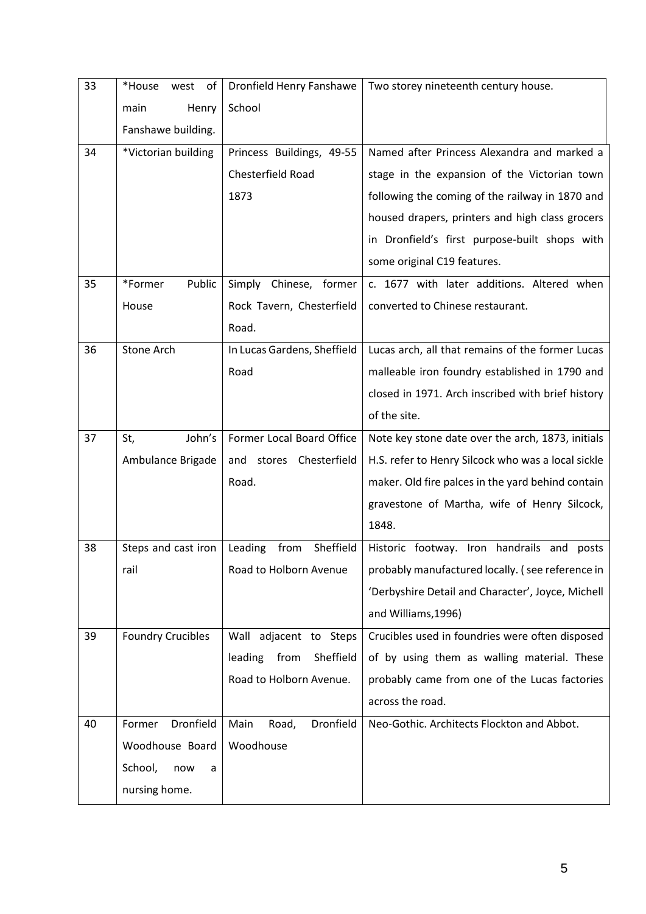| 33 | *House<br>west of        | Dronfield Henry Fanshawe     | Two storey nineteenth century house.               |
|----|--------------------------|------------------------------|----------------------------------------------------|
|    | Henry<br>main            | School                       |                                                    |
|    | Fanshawe building.       |                              |                                                    |
| 34 | *Victorian building      | Princess Buildings, 49-55    | Named after Princess Alexandra and marked a        |
|    |                          | Chesterfield Road            | stage in the expansion of the Victorian town       |
|    |                          | 1873                         | following the coming of the railway in 1870 and    |
|    |                          |                              | housed drapers, printers and high class grocers    |
|    |                          |                              | in Dronfield's first purpose-built shops with      |
|    |                          |                              | some original C19 features.                        |
| 35 | Public<br>*Former        | Simply<br>Chinese, former    | c. 1677 with later additions. Altered when         |
|    | House                    | Rock Tavern, Chesterfield    | converted to Chinese restaurant.                   |
|    |                          | Road.                        |                                                    |
| 36 | <b>Stone Arch</b>        | In Lucas Gardens, Sheffield  | Lucas arch, all that remains of the former Lucas   |
|    |                          | Road                         | malleable iron foundry established in 1790 and     |
|    |                          |                              | closed in 1971. Arch inscribed with brief history  |
|    |                          |                              | of the site.                                       |
| 37 | John's<br>St,            | Former Local Board Office    | Note key stone date over the arch, 1873, initials  |
|    | Ambulance Brigade        | and stores Chesterfield      | H.S. refer to Henry Silcock who was a local sickle |
|    |                          | Road.                        | maker. Old fire palces in the yard behind contain  |
|    |                          |                              | gravestone of Martha, wife of Henry Silcock,       |
|    |                          |                              | 1848.                                              |
| 38 | Steps and cast iron      | Sheffield<br>from<br>Leading | Historic footway. Iron handrails and posts         |
|    | rail                     | Road to Holborn Avenue       | probably manufactured locally. (see reference in   |
|    |                          |                              | 'Derbyshire Detail and Character', Joyce, Michell  |
|    |                          |                              | and Williams, 1996)                                |
| 39 | <b>Foundry Crucibles</b> | Wall adjacent to Steps       | Crucibles used in foundries were often disposed    |
|    |                          | from<br>Sheffield<br>leading | of by using them as walling material. These        |
|    |                          | Road to Holborn Avenue.      | probably came from one of the Lucas factories      |
|    |                          |                              | across the road.                                   |
| 40 | Dronfield<br>Former      | Dronfield<br>Main<br>Road,   | Neo-Gothic. Architects Flockton and Abbot.         |
|    | Woodhouse Board          | Woodhouse                    |                                                    |
|    | School,<br>now<br>a      |                              |                                                    |
|    | nursing home.            |                              |                                                    |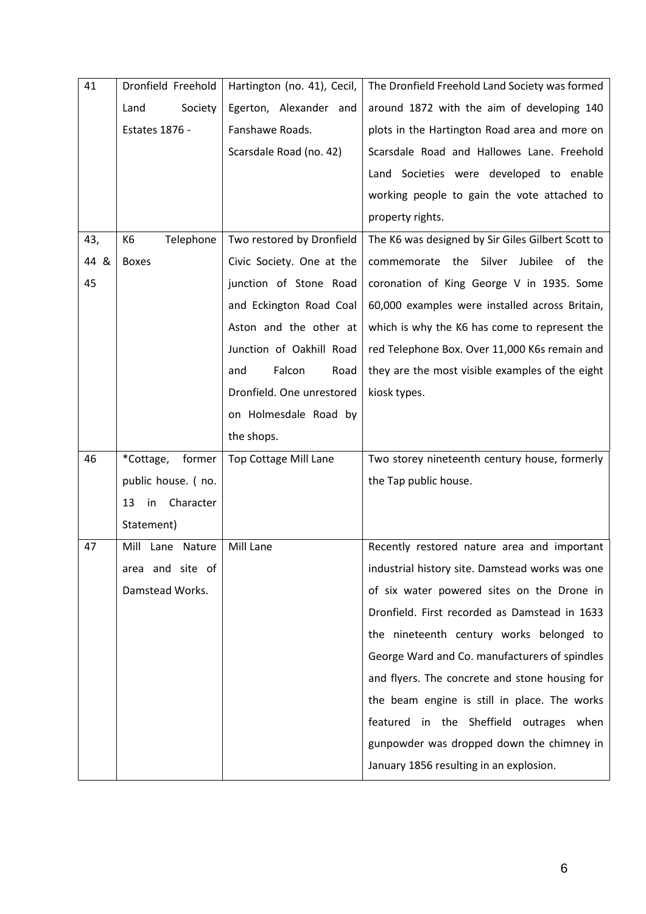| 41   | Dronfield Freehold          | Hartington (no. 41), Cecil,  | The Dronfield Freehold Land Society was formed    |
|------|-----------------------------|------------------------------|---------------------------------------------------|
|      | Land<br>Society             | Egerton, Alexander and       | around 1872 with the aim of developing 140        |
|      | Estates 1876 -              | Fanshawe Roads.              | plots in the Hartington Road area and more on     |
|      |                             | Scarsdale Road (no. 42)      | Scarsdale Road and Hallowes Lane. Freehold        |
|      |                             |                              | Land Societies were developed to enable           |
|      |                             |                              | working people to gain the vote attached to       |
|      |                             |                              | property rights.                                  |
| 43,  | Telephone<br>K <sub>6</sub> | Two restored by Dronfield    | The K6 was designed by Sir Giles Gilbert Scott to |
| 44 & | <b>Boxes</b>                | Civic Society. One at the    | commemorate the<br>Silver<br>Jubilee of the       |
| 45   |                             | junction of Stone Road       | coronation of King George V in 1935. Some         |
|      |                             | and Eckington Road Coal      | 60,000 examples were installed across Britain,    |
|      |                             | Aston and the other at       | which is why the K6 has come to represent the     |
|      |                             | Junction of Oakhill Road     | red Telephone Box. Over 11,000 K6s remain and     |
|      |                             | Falcon<br>Road<br>and        | they are the most visible examples of the eight   |
|      |                             | Dronfield. One unrestored    | kiosk types.                                      |
|      |                             | on Holmesdale Road by        |                                                   |
|      |                             | the shops.                   |                                                   |
| 46   | *Cottage,<br>former         | <b>Top Cottage Mill Lane</b> | Two storey nineteenth century house, formerly     |
|      | public house. (no.          |                              | the Tap public house.                             |
|      | Character<br>in<br>13       |                              |                                                   |
|      | Statement)                  |                              |                                                   |
| 47   | Mill<br>Nature<br>Lane      | Mill Lane                    | Recently restored nature area and important       |
|      | area and site of            |                              | industrial history site. Damstead works was one   |
|      | Damstead Works.             |                              | of six water powered sites on the Drone in        |
|      |                             |                              |                                                   |
|      |                             |                              | Dronfield. First recorded as Damstead in 1633     |
|      |                             |                              | the nineteenth century works belonged to          |
|      |                             |                              | George Ward and Co. manufacturers of spindles     |
|      |                             |                              | and flyers. The concrete and stone housing for    |
|      |                             |                              | the beam engine is still in place. The works      |
|      |                             |                              | featured in the Sheffield outrages when           |
|      |                             |                              | gunpowder was dropped down the chimney in         |